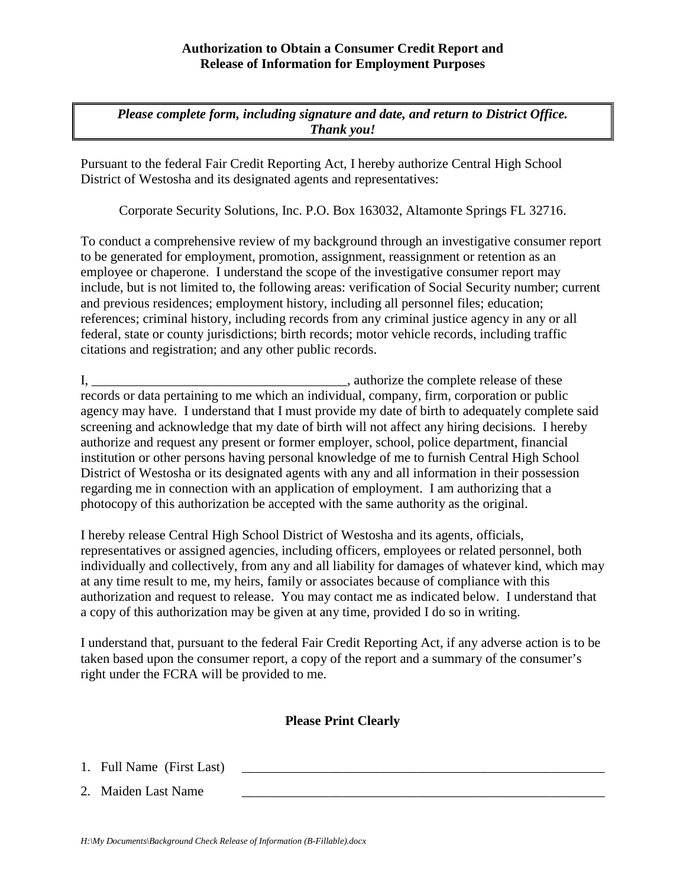## **Authorization to Obtain a Consumer Credit Report and Release of Information for Employment Purposes**

*Please complete form, including signature and date, and return to District Office. Thank you!*

Pursuant to the federal Fair Credit Reporting Act, I hereby authorize Central High School District of Westosha and its designated agents and representatives:

Corporate Security Solutions, Inc. P.O. Box 163032, Altamonte Springs FL 32716.

To conduct a comprehensive review of my background through an investigative consumer report to be generated for employment, promotion, assignment, reassignment or retention as an employee or chaperone. I understand the scope of the investigative consumer report may include, but is not limited to, the following areas: verification of Social Security number; current and previous residences; employment history, including all personnel files; education; references; criminal history, including records from any criminal justice agency in any or all federal, state or county jurisdictions; birth records; motor vehicle records, including traffic citations and registration; and any other public records.

I, \_\_\_\_\_\_\_\_\_\_\_\_\_\_\_\_\_\_\_\_\_\_\_\_\_\_\_\_\_\_\_\_\_\_\_\_\_\_, authorize the complete release of these records or data pertaining to me which an individual, company, firm, corporation or public agency may have. I understand that I must provide my date of birth to adequately complete said screening and acknowledge that my date of birth will not affect any hiring decisions. I hereby authorize and request any present or former employer, school, police department, financial institution or other persons having personal knowledge of me to furnish Central High School District of Westosha or its designated agents with any and all information in their possession regarding me in connection with an application of employment. I am authorizing that a photocopy of this authorization be accepted with the same authority as the original.

I hereby release Central High School District of Westosha and its agents, officials, representatives or assigned agencies, including officers, employees or related personnel, both individually and collectively, from any and all liability for damages of whatever kind, which may at any time result to me, my heirs, family or associates because of compliance with this authorization and request to release. You may contact me as indicated below. I understand that a copy of this authorization may be given at any time, provided I do so in writing.

I understand that, pursuant to the federal Fair Credit Reporting Act, if any adverse action is to be taken based upon the consumer report, a copy of the report and a summary of the consumer's right under the FCRA will be provided to me.

## **Please Print Clearly**

1. Full Name (First Last)

2. Maiden Last Name